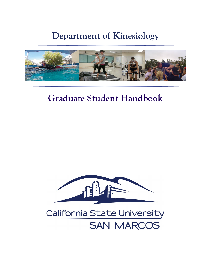# **Department of Kinesiology**



# **Graduate Student Handbook**



# **California State University SAN MARCOS**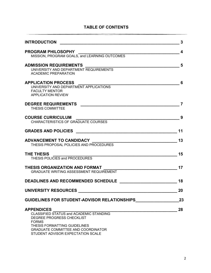| <b>INTRODUCTION</b><br><u> 1980 - John Stein, Amerikaansk politiker (</u>                                                                                                                                                   | 3  |
|-----------------------------------------------------------------------------------------------------------------------------------------------------------------------------------------------------------------------------|----|
| <b>PROGRAM PHILOSOPHY</b><br>MISSION, PROGRAM GOALS, and LEARNING OUTCOMES                                                                                                                                                  | 4  |
| <b>ADMISSION REQUIREMENTS</b><br>UNIVERSITY AND DEPARTMENT REQUIREMENTS<br><b>ACADEMIC PREPARATION</b>                                                                                                                      | 5  |
| <b>APPLICATION PROCESS</b><br>UNIVERSITY AND DEPARTMENT APPLICATIONS<br><b>FACULTY MENTOR</b>                                                                                                                               | 6  |
| <b>APPLICATION REVIEW</b><br><b>DEGREE REQUIREMENTS</b><br><b>THESIS COMMITTEE</b>                                                                                                                                          | 7  |
| <b>COURSE CURRICULUM</b><br>CHARACTERISTICS OF GRADUATE COURSES                                                                                                                                                             | 9  |
|                                                                                                                                                                                                                             | 11 |
| THESIS PROPOSAL POLICIES AND PROCEDURES                                                                                                                                                                                     | 13 |
| THE THESIS<br>THESIS POLICIES and PROCEDURES                                                                                                                                                                                | 15 |
| THESIS ORGANIZATION AND FORMAT<br><b>GRADUATE WRITING ASSESSMENT REQUIREMENT</b>                                                                                                                                            | 17 |
| <b>DEADLINES AND RECOMMENDED SCHEDULE</b>                                                                                                                                                                                   | 18 |
| <b>UNIVERSITY RESOURCES</b>                                                                                                                                                                                                 | 20 |
| GUIDELINES FOR STUDENT-ADVISOR RELATIONSHIPS                                                                                                                                                                                | 23 |
| <b>APPENDICES</b><br>CLASSIFIED STATUS and ACADEMIC STANDING<br>DEGREE PROGRESS CHECKLIST<br><b>FORMS</b><br>THESIS FORMATTING GUIDELINES<br><b>GRADUATE COMMITTEE AND COORDINATOR</b><br>STUDENT ADVISOR EXPECTATION SCALE | 28 |

# **TABLE OF CONTENTS**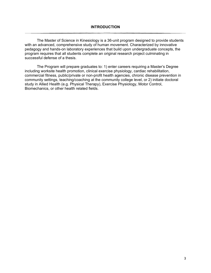The Master of Science in Kinesiology is a 36-unit program designed to provide students with an advanced, comprehensive study of human movement. Characterized by innovative pedagogy and hands-on laboratory experiences that build upon undergraduate concepts, the program requires that all students complete an original research project culminating in successful defense of a thesis.

The Program will prepare graduates to: 1) enter careers requiring a Master's Degree including worksite health promotion, clinical exercise physiology, cardiac rehabilitation, commercial fitness, public/private or non-profit health agencies, chronic disease prevention in community settings, teaching/coaching at the community college level, or 2) initiate doctoral study in Allied Health (e.g. Physical Therapy), Exercise Physiology, Motor Control, Biomechanics, or other health related fields.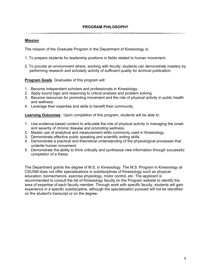## **Mission**

The mission of the Graduate Program in the Department of Kinesiology is:

- 1. To prepare students for leadership positions in fields related to human movement.
- 2. To provide an environment where, working with faculty, students can demonstrate mastery by performing research and scholarly activity of sufficient quality for archival publication.

**Program Goals**: Graduates of this program will:

- 1. Become independent scholars and professionals in Kinesiology.
- 2. Apply sound logic and reasoning to critical analysis and problem solving.
- 3. Become resources for promoting movement and the role of physical activity in public health and wellness.
- 4. Leverage their expertise and skills to benefit their community.

**Learning Outcomes**: Upon completion of this program, students will be able to:

- 1. Use evidence-based content to articulate the role of physical activity in managing the onset and severity of chronic disease and promoting wellness.
- 2. Master use of analytical and measurement skills commonly used in Kinesiology.
- 3. Demonstrate effective public speaking and scientific writing skills.
- 4. Demonstrate a practical and theoretical understanding of the physiological processes that underlie human movement.
- 5. Demonstrate the ability to think critically and synthesize new information through successful completion of a thesis.

The Department grants the degree of M.S. in Kinesiology. The M.S. Program in Kinesiology at CSUSM does not offer specializations in subdisciplines of Kinesiology such as physical education, biomechanics, exercise physiology, motor control, etc. The applicant is recommended to consult the list of Kinesiology faculty on the Program website to identify the area of expertise of each faculty member. Through work with specific faculty, students will gain experience in a specific subdiscipline, although the specialization pursued will not be identified on the student's transcript or on the degree.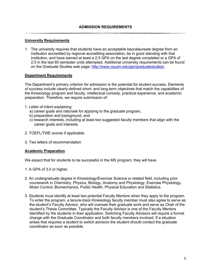## **University Requirements**

1. The university requires that students have an acceptable baccalaureate degree from an institution accredited by regional accrediting association, be in good standing with that institution, and have earned at least a 2.5 GPA on the last degree completed or a GPA of 2.5 in the last 60 semester units attempted. Additional university requirements can be found on the Graduate Studies web page: [http://www.csusm.edu/gsr/graduatestudies/.](http://www.csusm.edu/gsr/graduatestudies/)

### **Department Requirements**

The Department's primary criterion for admission is the potential for student success. Elements of success include clearly-defined short- and long-term objectives that match the capabilities of the Kinesiology program and faculty, intellectual curiosity, practical experience, and academic preparation. Therefore, we require submission of:

- 1. Letter of intent explaining
	- a) career goals and rationale for applying to the graduate program,
	- b) preparation and background, and
	- c) research interests, including at least two suggested faculty members that align with the career goals and interests.
- 2. TOEFL/TWE scores if applicable.
- 3. Two letters of recommendation

#### **Academic Preparation**

We expect that for students to be successful in the MS program, they will have

- 1. A GPA of 3.0 or higher.
- 2. An undergraduate degree in Kinesiology/Exercise Science or related field, including prior coursework in Chemistry, Physics, Biology, Anatomy and Physiology, Exercise Physiology, Motor Control, Biomechanics, Public Health, Physical Education and Statistics.
- 3. Students must identify at least two potential Faculty Mentors when they apply to the program. To enter the program, a tenure-track Kinesiology faculty member must also agree to serve as the student's Faculty Advisor, who will oversee their graduate work and serve as Chair of the student's Thesis Committee. Typically the Faculty Advisor is one of the Faculty Mentors identified by the students in their application. Switching Faculty Advisors will require a formal change with the Graduate Coordinator and both faculty members involved. If a situation arises that requires a student to switch advisors the student should contact the graduate coordinator as soon as possible.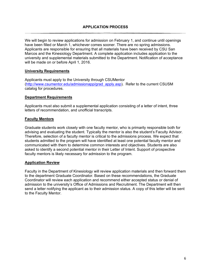We will begin to review applications for admission on February 1, and continue until openings have been filled or March 1, whichever comes sooner. There are no spring admissions. Applicants are responsible for ensuring that all materials have been received by CSU San Marcos and the Kinesiology Department. A complete application includes application to the university and supplemental materials submitted to the Department. Notification of acceptance will be made on or before April 1, 2016.

### **University Requirements**

Applicants must apply to the University through CSUMentor [\(http://www.csumentor.edu/admissionapp/grad\\_apply.asp\)](http://www.csumentor.edu/admissionapp/grad_apply.asp). Refer to the current CSUSM catalog for procedures.

#### **Department Requirements**

Applicants must also submit a supplemental application consisting of a letter of intent, three letters of recommendation, and unofficial transcripts.

#### **Faculty Mentors**

Graduate students work closely with one faculty mentor, who is primarily responsible both for advising and evaluating the student. Typically the mentor is also the student's Faculty Advisor. Therefore, selection of a faculty mentor is critical to the admissions process. We expect that students admitted to the program will have identified at least one potential faculty mentor and communicated with them to determine common interests and objectives. Students are also asked to identify a second potential mentor in their Letter of Intent. Support of prospective faculty mentors is likely necessary for admission to the program.

#### **Application Review**

Faculty in the Department of Kinesiology will review application materials and then forward them to the department Graduate Coordinator. Based on these recommendations, the Graduate Coordinator will review each application and recommend either accepted status or denial of admission to the university's Office of Admissions and Recruitment. The Department will then send a letter notifying the applicant as to their admission status. A copy of this letter will be sent to the Faculty Mentor.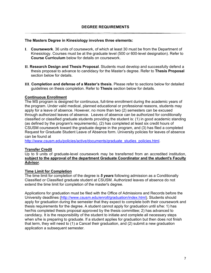#### **The Masters Degree in Kinesiology involves three elements:**

- **I**. **Coursework**. 36 units of coursework, of which at least 30 must be from the Department of Kinesiology. Courses must be at the graduate level (500 or 600-level designation). Refer to **Course Curriculum** below for details on coursework.
- **II**. **Research Design and Thesis Proposal**. Students must develop and successfully defend a thesis proposal to advance to candidacy for the Master's degree. Refer to **Thesis Proposal** section below for details.
- **III**. **Completion and defense of a Master's thesis**. Please refer to sections below for detailed guidelines on thesis completion. Refer to **Thesis** section below for details.

#### **Continuous Enrollment**

The MS program is designed for continuous, full-time enrollment during the academic years of the program. Under valid medical, planned educational or professional reasons, students may apply for a leave of absence. However, no more than two (2) semesters can be excused through authorized leaves of absence. Leaves of absence can be authorized for conditionally classified or classified graduate students providing the student is: (1) in good academic standing (as defined by the program's requirements), (2) has completed at least six credit hours of CSUSM coursework toward the graduate degree in the program, and (3) has filed a completed Request for Graduate Student Leave of Absence form. University policies for leaves of absence can be found at

[http://www.csusm.edu/policies/active/documents/graduate\\_studies\\_policies.html.](http://www.csusm.edu/policies/active/documents/graduate_studies_policies.html)

### **Transfer Credit**

Up to 9 units of graduate-level coursework may be transferred from an accredited institution, **subject to the approval of the department Graduate Coordinator and the student's Faculty Advisor**.

### **Time Limit for Completion**

The time limit for completion of the degree is *5 years* following admission as a Conditionally Classified or Classified graduate student at CSUSM. Authorized leaves of absence do not extend the time limit for completion of the master's degree.

Applications for graduation must be filed with the Office of Admissions and Records before the University deadlines [\(http://www.csusm.edu/enroll/graduation/index.html\)](http://www.csusm.edu/enroll/graduation/index.html). Students should apply for graduation during the semester that they expect to complete both their coursework and thesis requirements for the degree. A student cannot apply for graduation until s/he: 1) has her/his completed thesis proposal approved by the thesis committee; 2) has advanced to candidacy. It is the responsibility of the student to initiate and complete all necessary steps when s/he is preparing to graduate. If a student applies for graduation but then does not finish that term, they will need to (1) a Cancel their graduation, and (2) submit a new graduation application a subsequent semester.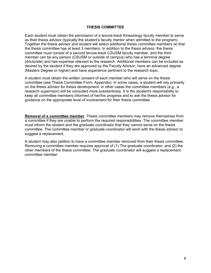#### **THESIS COMMITTEE**

Each student must obtain the permission of a tenure-track Kinesiology faculty member to serve as their thesis advisor (typically the student's faculty mentor when admitted to the program). Together the thesis advisor and student will select additional thesis committee members so that the thesis committee has at least 3 members. In addition to the thesis advisor, the thesis committee must consist of a second tenure-track CSUSM faculty member, and the third member can be any person (CSUSM or outside of campus) who has a terminal degree (doctorate) and has expertise relevant to the research. Additional members can be included as desired by the student if they are approved by the Faculty Advisor, have an advanced degree (Masters Degree or higher) and have experience pertinent to the research topic.

A student must obtain the written consent of each member who will serve on the thesis committee (see Thesis Committee Form, Appendix). In some cases, a student will rely primarily on the thesis advisor for thesis development; in other cases the committee members (e.g., a research supervisor) will be consulted more substantively. It is the student's responsibility to keep all committee members informed of her/his progress and to ask the thesis advisor for guidance on the appropriate level of involvement for their thesis committee.

**Removal of a committee member**. Thesis committee members may remove themselves from a committee if they are unable to perform the required responsibilities. The committee member must inform the student and the graduate coordinator that they cannot serve on the thesis committee. The committee member or graduate coordinator will work with the thesis advisor to suggest a replacement.

A student may also petition to have a committee member removed from their thesis committee. Removing a committee member requires approval of (1) The graduate coordinator; and (2) the other members of the thesis committee. The graduate coordinator will suggest a replacement committee member.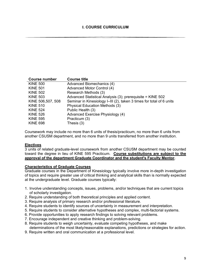| Course number     | <b>Course title</b>                                                  |
|-------------------|----------------------------------------------------------------------|
| <b>KINE 500</b>   | Advanced Biomechanics (4)                                            |
| <b>KINE 501</b>   | Advanced Motor Control (4)                                           |
| <b>KINE 502</b>   | Research Methods (3)                                                 |
| <b>KINE 503</b>   | Advanced Statistical Analysis (3); prerequisite = KINE 502           |
| KINE 506,507, 508 | Seminar in Kinesiology I–III (2), taken 3 times for total of 6 units |
| <b>KINE 510</b>   | Physical Education Methods (3)                                       |
| <b>KINE 524</b>   | Public Health (3)                                                    |
| <b>KINE 526</b>   | Advanced Exercise Physiology (4)                                     |
| <b>KINE 595</b>   | Practicum (3)                                                        |
| <b>KINE 698</b>   | Thesis $(3)$                                                         |
|                   |                                                                      |

Coursework may include no more than 6 units of thesis/practicum, no more than 6 units from another CSUSM department, and no more than 9 units transferred from another institution.

#### **Electives**

3 units of related graduate-level coursework from another CSUSM department may be counted toward the degree in lieu of KINE 595 Practicum. **Course substitutions are subject to the approval of the department Graduate Coordinator and the student's Faculty Mentor.** 

#### **Characteristics of Graduate Courses**

Graduate courses in the Department of Kinesiology typically involve more in-depth investigation of topics and require greater use of critical thinking and analytical skills than is normally expected at the undergraduate level. Graduate courses typically:

- 1. Involve understanding concepts, issues, problems, and/or techniques that are current topics of scholarly investigation.
- 2. Require understanding of both theoretical principles and applied content.
- 3. Require analysis of primary research and/or professional literature.
- 4. Require students to identify sources of uncertainty in measurement and interpretation.
- 5. Require students to consider alternative hypotheses and complex, multi-factorial systems.
- 6. Provide opportunities to apply research findings to solving relevant problems.
- 7. Encourage independent and creative thinking and problem-solving.
- 8. Require students to weigh uncertainty, evaluate competing hypotheses, and make determinations of the most likely/reasonable explanations, predictions or strategies for action.
- 9. Require written and oral communication at a professional level.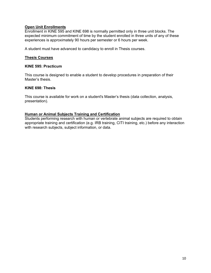## **Open Unit Enrollments**

Enrollment in KINE 595 and KINE 698 is normally permitted only in three unit blocks. The expected minimum commitment of time by the student enrolled in three units of any of these experiences is approximately 90 hours per semester or 6 hours per week.

A student must have advanced to candidacy to enroll in Thesis courses.

#### **Thesis Courses**

#### **KINE 595: Practicum**

This course is designed to enable a student to develop procedures in preparation of their Master's thesis.

#### **KINE 698: Thesis**

This course is available for work on a student's Master's thesis (data collection, analysis, presentation).

#### **Human or Animal Subjects Training and Certification**

Students performing research with human or vertebrate animal subjects are required to obtain appropriate training and certification (e.g. IRB training, CITI training, etc.) before any interaction with research subjects, subject information, or data.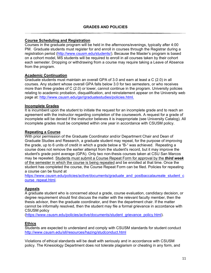## **Course Scheduling and Registration**

Courses in the graduate program will be held in the afternoons/evenings, typically after 4:00 PM. Graduate students must register for and enroll in courses through the Registrar during a registration period [\(http://www.csusm.edu/students/\)](http://www.csusm.edu/students/). Because the Master's program is based on a cohort model, MS students will be required to enroll in all courses taken by their cohort each semester. Dropping or withdrawing from a course may require taking a Leave of Absence from the program.

## **Academic Continuation**

Graduate students must maintain an overall GPA of 3.0 and earn at least a C (2.0) in all courses. Any student whose overall GPA falls below 3.0 for two semesters, or who receives more than three grades of C (2.0) or lower, cannot continue in the program. University policies relating to academic probation, disqualification, and reinstatement appear on the University web page at: [http://www.csusm.edu/gsr/graduatestudies/policies.html.](http://www.csusm.edu/gsr/graduatestudies/policies.html)

### **Incomplete Grades**

It is incumbent upon the student to initiate the request for an incomplete grade and to reach an agreement with the instructor regarding completion of the coursework. A request for a grade of incomplete will be denied if the instructor believes it is inappropriate (see University Catalog). All incomplete grades must be completed within one year in accordance with CSUSM policy.

### **Repeating a Course**

With prior permission of the Graduate Coordinator and/or Department Chair and Dean of Graduate Studies and Research, a graduate student may repeat, for the purpose of improving the grade, up to 6 units of credit in which a grade below a "B-" was achieved. Repeating a course does not remove the earlier attempt from the student's record, but it may improve the student's grade point average (GPA). Only two non-thesis courses taken at CSU San Marcos may be repeated. Students must submit a Course Repeat Form for approval by the *third week* of the semester in which the course is being repeated and be enrolled at that time. Once the student has completed the course, the Course Repeat Form can be filed. Policies for repeating a course can be found at

[https://www.csusm.edu/policies/active/documents/graduate\\_and\\_postbaccalaureate\\_student\\_c](https://www.csusm.edu/policies/active/documents/graduate_and_postbaccalaureate_student_course_repeat.html) [ourse\\_repeat.html.](https://www.csusm.edu/policies/active/documents/graduate_and_postbaccalaureate_student_course_repeat.html)

## **Appeals**

A graduate student who is concerned about a grade, course evaluation, candidacy decision, or degree requirement should first discuss the matter with the relevant faculty member, then the thesis advisor, then the graduate coordinator, and then the department chair. If the matter cannot be informally resolved, then the student may file a formal grievance in accordance with CSUSM policy

[\(https://www.csusm.edu/policies/active/documents/student\\_grievance\\_policy.html\)](https://www.csusm.edu/policies/active/documents/student_grievance_policy.html).

## **Ethics**

Students are expected to understand and comply with CSUSM standards for student conduct <http://www.csusm.edu/sll/resources/hazing/studconduct.html>

Violations of ethical standards will be dealt with seriously and in accordance with CSUSM policy. The Kinesiology Department does not tolerate plagiarism or cheating in any form, and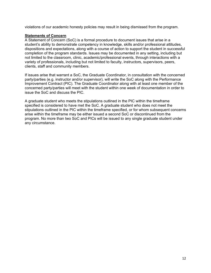violations of our academic honesty policies may result in being dismissed from the program.

## **Statements of Concern**

A Statement of Concern (SoC) is a formal procedure to document issues that arise in a student's ability to demonstrate competency in knowledge, skills and/or professional attitudes, dispositions and expectations, along with a course of action to support the student in successful completion of the program standards. Issues may be documented in any setting, including but not limited to the classroom, clinic, academic/professional events, through interactions with a variety of professionals, including but not limited to faculty, instructors, supervisors, peers, clients, staff and community members.

If issues arise that warrant a SoC, the Graduate Coordinator, in consultation with the concerned party/parties (e.g. instructor and/or supervisor), will write the SoC along with the Performance Improvement Contract (PIC). The Graduate Coordinator along with at least one member of the concerned party/parties will meet with the student within one week of documentation in order to issue the SoC and discuss the PIC.

A graduate student who meets the stipulations outlined in the PIC within the timeframe specified is considered to have met the SoC. A graduate student who does not meet the stipulations outlined in the PIC within the timeframe specified, or for whom subsequent concerns arise within the timeframe may be either issued a second SoC or discontinued from the program. No more than two SoC and PICs will be issued to any single graduate student under any circumstance.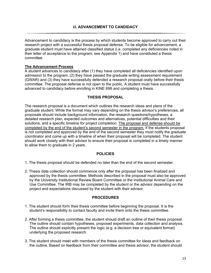Advancement to candidacy is the process by which students become approved to carry out their research project with a successful thesis proposal defense. To be eligible for advancement, a graduate student must have attained classified status (i.e. completed any deficiencies noted in their letter of acceptance to the program; see Appendix 1) and have constituted a thesis committee.

## **The Advancement Process**

A student advances to candidacy after (1) they have completed all deficiencies identified upon admission to the program, (2) they have passed the graduate writing assessment requirement (GWAR) and (3) they have successfully defended a research proposal orally before their thesis committee. The proposal defense is not open to the public. A student must have successfully advanced to candidacy before enrolling in KINE 698 and completing a thesis.

### **THESIS PROPOSAL**

The research proposal is a document which outlines the research ideas and plans of the graduate student. While the format may vary depending on the thesis advisor's preferences, all proposals should include background information, the research questions/hypotheses, a detailed research plan, expected outcomes and alternatives, potential difficulties and their solutions, and a specific timeline for project completion. The proposal and defense should be completed by the end of the student's second semester in the program. If the students proposal is not completed and approved by the end of the second semester they must notify the graduate coordinator and come up with a timeline of when their proposal will be completed. The student should work closely with their advisor to ensure their proposal is completed in a timely manner to allow them to graduate in 2 years.

### **POLICIES**

1. The thesis proposal should be defended no later than the end of the second semester.

2. Thesis data collection should commence only after the proposal has been finalized and approved by the thesis committee. Methods described in the proposal must also be approved by the University Institutional Review Board Committee or the Institutional Animal Care and Use Committee. The IRB may be completed by the student or the advisor depending on the project and expectations discussed by the student with their advisor.

### **PROCEDURES**

- 1. The student should form their thesis committee before beginning the proposal. It is the student's responsibility to contact faculty and invite them onto the thesis committee.
- 2. After forming a thesis committee, the student should draft an outline of their thesis proposal. The outline should contain hypotheses, proposed experiments, data collection and analysis. The outline should explicitly present the logic (e.g. a decision tree or equivalent format) underlying the proposed research.
- 3. The student should meet with members of the thesis committee for ideas and feedback on the outline. Based on feedback from their committee and thesis advisor, the student should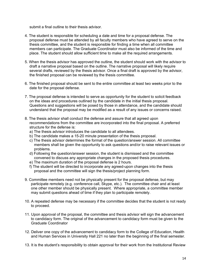submit a final outline to their thesis advisor.

- 4. The student is responsible for scheduling a date and time for a proposal defense. The proposal defense must be attended by all faculty members who have agreed to serve on the thesis committee, and the student is responsible for finding a time when all committee members can participate. The Graduate Coordinator must also be informed of the time and place. The student should allow sufficient time to make all the required arrangements.
- 5. When the thesis advisor has approved the outline, the student should work with the advisor to draft a narrative proposal based on the outline. The narrative proposal will likely require several drafts, reviewed by the thesis advisor. Once a final draft is approved by the advisor, the finished proposal can be reviewed by the thesis committee.
- 6. The finished proposal should be sent to the entire committee at least two weeks prior to the date for the proposal defense.
- 7. The proposal defense is intended to serve as opportunity for the student to solicit feedback on the ideas and procedures outlined by the candidate in the initial thesis proposal. Questions and suggestions will be posed by those in attendance, and the candidate should understand that the proposal may be modified as a result of any issues or concerns raised.
- 8. The thesis advisor shall conduct the defense and assure that all agreed upon recommendations from the committee are incorporated into the final proposal. A preferred structure for the defense is:
	- a) The thesis advisor introduces the candidate to all attendees.
	- b) The candidate makes a 15-20 minute presentation of the thesis proposal.
	- c) The thesis advisor determines the format of the question/answer session. All committee members shall be given the opportunity to ask questions and/or to raise relevant issues or problems.
	- d) Following the question/answer session, the student is dismissed and the committee convened to discuss any appropriate changes in the proposed thesis procedures.
	- e) The maximum duration of the proposal defense is 2 hours.
	- f) The student will be directed to incorporate any agreed-upon changes into the thesis proposal and the committee will sign the thesis/project planning form.
- 9. Committee members need not be physically present for the proposal defense, but may participate remotely (e.g. conference call, Skype, etc.). The committee chair and at least one other member should be physically present. Where appropriate, a committee member may submit questions ahead of time if they plan to participate remotely.
- 10. A repeated defense may be necessary if the committee decides that the student is not ready to proceed.
- 11. Upon approval of the proposal, the committee and thesis advisor will sign the advancement to candidacy form. The original of the advancement to candidacy form must be given to the Graduate Coordinator
- 12. Deliver one copy of the advancement to candidacy form to the College of Education, Health and Human Services in University Hall 221 no later than the beginning of the final semester.
- 13. It is the student's responsibility to obtain approval for their work from the Institutional Review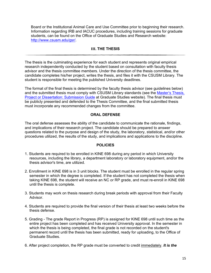Board or the Institutional Animal Care and Use Committee prior to beginning their research. Information regarding IRB and IACUC procedures, including training sessions for graduate students, can be found on the Office of Graduate Studies and Research website: [http://www.csusm.edu/gsr/.](http://www.csusm.edu/gsr/)

## **III. THE THESIS**

The thesis is the culminating experience for each student and represents original empirical research independently conducted by the student based on consultation with faculty thesis advisor and the thesis committee members. Under the direction of the thesis committee, the candidate completes his/her project, writes the thesis, and files it with the CSUSM Library. The student is responsible for meeting the published University deadlines.

The format of the final thesis is determined by the faculty thesis advisor (see guidelines below) and the submitted thesis must comply with CSUSM Library standards (see the Master's Thesis, [Project or Dissertation: Submission Guide](http://www.csusm.edu/gsr/graduatestudies/completion.html) at Graduate Studies website). The final thesis must be publicly presented and defended to the Thesis Committee, and the final submitted thesis must incorporate any recommended changes from the committee.

### **ORAL DEFENSE**

The oral defense assesses the ability of the candidate to communicate the rationale, findings, and implications of their research project. The candidate should be prepared to answer questions related to the purpose and design of the study, the laboratory, statistical, and/or other procedures utilized, the results of the study, and implications and applications to the discipline.

### **POLICIES**

- 1. Students are required to be enrolled in KINE 698 during any period in which University resources, including the library, a department laboratory or laboratory equipment, and/or the thesis advisor's time, are utilized.
- 2. Enrollment in KINE 698 is in 3 unit blocks. The student must be enrolled in the regular spring semester in which the degree is completed. If the student has not completed the thesis when taking KINE 698, the student will receive an NC or RP grade, and must re-enroll in KINE 698 until the thesis is complete.
- 3. Students may work on thesis research during break periods with approval from their Faculty Advisor.
- 4. Students are required to provide the final version of their thesis at least two weeks before the thesis defense.
- 5. Grading The grade Report in Progress (RP) is assigned for KINE 698 until such time as the entire project has been completed and has received University approval. In the semester in which the thesis is being completed, the final grade is not recorded on the student's permanent record until the thesis has been submitted, ready for uploading, to the Office of Graduate Studies.
- 6. After project completion, the RP grade must be converted to credit immediately. *It is the*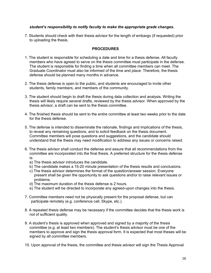## *student's responsibility to notify faculty to make the appropriate grade changes.*

7. Students should check with their thesis advisor for the length of embargo (if requested) prior to uploading the thesis.

## **PROCEDURES**

- 1. The student is responsible for scheduling a date and time for a thesis defense. All faculty members who have agreed to serve on the thesis committee must participate in the defense. The student is responsible for finding a time when all committee members can meet. The Graduate Coordinator must also be informed of the time and place. Therefore, the thesis defense should be planned many months in advance.
- 2. The thesis defense is open to the public, and students are encouraged to invite other students, family members, and members of the community.
- 3. The student should begin to draft the thesis during data collection and analysis. Writing the thesis will likely require several drafts, reviewed by the thesis advisor. When approved by the thesis advisor, a draft can be sent to the thesis committee.
- 4. The finished thesis should be sent to the entire committee at least two weeks prior to the date for the thesis defense.
- 5. The defense is intended to disseminate the rationale, findings and implications of the thesis, to reveal any remaining questions, and to solicit feedback on the thesis document. Committee members will pose questions and suggestions, and the candidate should understand that the thesis may need modification to address any issues or concerns raised.
- 6. The thesis advisor shall conduct the defense and assure that all recommendations from the committee are incorporated into the final thesis. A preferred structure for the thesis defense is:
	- a) The thesis advisor introduces the candidate.
	- b) The candidate makes a 15-20 minute presentation of the thesis results and conclusions.
	- c) The thesis advisor determines the format of the question/answer session. Everyone present shall be given the opportunity to ask questions and/or to raise relevant issues or problems.
	- d) The maximum duration of the thesis defense is 2 hours.
	- e) The student will be directed to incorporate any agreed-upon changes into the thesis.
- 7. Committee members need not be physically present for the proposal defense, but can participate remotely (e.g. conference call, Skype, etc.).
- 8. A repeated thesis defense may be necessary if the committee decides that the thesis work is not of sufficient quality.
- 9. A student's thesis is approved when approved and signed by a majority of the thesis committee (e.g. at least two members). The student's thesis advisor must be one of the members to approve and sign the thesis approval form. It is expected that most theses will be signed by all committee members.
- 10. Upon approval of the thesis, the committee and thesis advisor will sign the Thesis Approval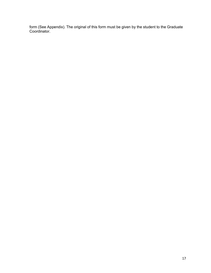form (See Appendix). The original of this form must be given by the student to the Graduate Coordinator.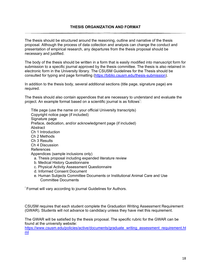The thesis should be structured around the reasoning, outline and narrative of the thesis proposal. Although the process of data collection and analysis can change the conduct and presentation of empirical research, any departures from the thesis proposal should be necessary and justified.

The body of the thesis should be written in a form that is easily modified into manuscript form for submission to a specific journal approved by the thesis committee. The thesis is also retained in electronic form in the University library. The CSUSM Guidelines for the Thesis should be consulted for typing and page formatting [\(https://biblio.csusm.edu/thesis-submission\)](https://biblio.csusm.edu/thesis-submission).

In addition to the thesis body, several additional sections (title page, signature page) are required.

The thesis should also contain appendices that are necessary to understand and evaluate the project. An example format based on a scientific journal is as follows\* :

Title page (use the name on your official University transcripts) Copyright notice page (if included) Signature page Preface, dedication, and/or acknowledgment page (if included) **Abstract** Ch 1 Introduction Ch 2 Methods Ch 3 Results Ch 4 Discussion References Appendices (sample inclusions only) a. Thesis proposal including expanded literature review b. Medical History Questionnaire c. Physical Activity Assessment Questionnaire d. Informed Consent Document e. Human Subjects Committee Documents or Institutional Animal Care and Use Committee Documents

\* Format will vary according to journal Guidelines for Authors.

CSUSM requires that each student complete the Graduation Writing Assessment Requirement (GWAR). Students will not advance to candidacy unless they have met this requirement.

The GWAR will be satisfied by the thesis proposal. The specific rubric for the GWAR can be found at the university website:

[https://www.csusm.edu/policies/active/documents/graduate\\_writing\\_assessment\\_requirement.ht](https://www.csusm.edu/policies/active/documents/graduate_writing_assessment_requirement.html) [ml](https://www.csusm.edu/policies/active/documents/graduate_writing_assessment_requirement.html)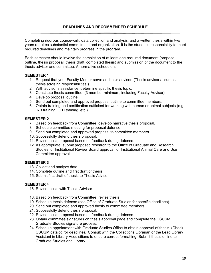Completing rigorous coursework, data collection and analysis, and a written thesis within two years requires substantial commitment and organization. It is the student's responsibility to meet required deadlines and maintain progress in the program.

Each semester should involve the completion of at least one required document (proposal outline, thesis proposal, thesis draft, completed thesis) and submission of the document to the thesis advisor and committee. A normative schedule is:

### **SEMESTER 1**

- 1. Request that your Faculty Mentor serve as thesis advisor. (Thesis advisor assumes thesis advising responsibilities.)
- 2. With advisor's assistance, determine specific thesis topic.
- 3. Constitute thesis committee (3 member minimum, including Faculty Advisor)
- 4. Develop proposal outline.
- 5. Send out completed and approved proposal outline to committee members.
- 6. Obtain training and certification sufficient for working with human or animal subjects (e.g. IRB training, CITI training, etc.).

### **SEMESTER 2**

- 7. Based on feedback from Committee, develop narrative thesis proposal.
- 8. Schedule committee meeting for proposal defense.
- 9. Send out completed and approved proposal to committee members.
- 10. Successfully defend thesis proposal.
- 11. Revise thesis proposal based on feedback during defense.
- 12. As appropriate, submit proposed research to the Office of Graduate and Research Studies for Institutional Review Board approval, or Institutional Animal Care and Use Committee approval.

### **SEMESTER 3**

- 13. Collect and analyze data
- 14. Complete outline and first draft of thesis
- 15. Submit first draft of thesis to Thesis Advisor

## **SEMESTER 4**

- 16. Revise thesis with Thesis Advisor
- 18. Based on feedback from Committee, revise thesis.
- 19. Schedule thesis defense (see Office of Graduate Studies for specific deadlines).
- 20. Send out completed and approved thesis to committee members.
- 21. Successfully defend thesis proposal.
- 22. Revise thesis proposal based on feedback during defense.
- 23. Obtain committee signatures on thesis approval page and complete the CSUSM Graduate Studies signature process.
- 24. Schedule appointment with Graduate Studies Office to obtain approval of thesis. (Check CSUSM catalog for deadline). Consult with the Collections Librarian or the Lead Library Assistant in Library Acquisitions to ensure correct formatting. Submit thesis online to Graduate Studies and Library.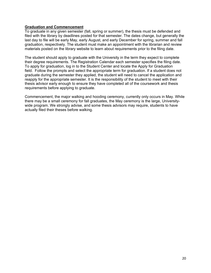#### **Graduation and Commencement**

To graduate in any given semester (fall, spring or summer), the thesis must be defended and filed with the library by deadlines posted for that semester. The dates change, but generally the last day to file will be early May, early August, and early December for spring, summer and fall graduation, respectively. The student must make an appointment with the librarian and review materials posted on the library website to learn about requirements prior to the filing date.

The student should apply to graduate with the University in the term they expect to complete their degree requirements. The Registration Calendar each semester specifies the filing date. To apply for graduation, log in to the Student Center and locate the Apply for Graduation field. Follow the prompts and select the appropriate term for graduation. If a student does not graduate during the semester they applied, the student will need to cancel the application and reapply for the appropriate semester. It is the responsibility of the student to meet with their thesis advisor early enough to ensure they have completed all of the coursework and thesis requirements before applying to graduate.

Commencement, the major walking and hooding ceremony, currently only occurs in May. While there may be a small ceremony for fall graduates, the May ceremony is the large, Universitywide program. We strongly advise, and some thesis advisors may require, students to have actually filed their theses before walking.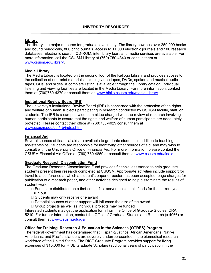## **Library**

The library is a major resource for graduate level study. The library now has over 250,000 books and bound periodicals, 800 print journals, access to 11,000 electronic journals and 100 research databases. Electronic search, CD-ROM, interlibrary loan, and media services are available. For more information, call the CSUSM Library at (760) 750-4340 or consult them at [www.csusm.edu/library.](http://www.csusm.edu/library)

## **Media Library**

The Media Library is located on the second floor of the Kellogg Library and provides access to the collection of non-print materials including video tapes, DVDs, spoken and musical audio tapes, CDs, and slides. A complete listing is available through the Library catalog. Individual listening and viewing facilities are located in the Media Library. For more information, contact them at (760)750-4370 or consult them at [www.biblio.csusm.edu/media\\_library.](http://www.biblio.csusm.edu/media_library)

### **Institutional Review Board (IRB)**

The university's Institutional Review Board (IRB) is concerned with the protection of the rights and welfare of human subjects participating in research conducted by CSUSM faculty, staff, or students. The IRB is a campus-wide committee charged with the review of research involving human participants to assure that the rights and welfare of human participants are adequately protected. Please contact their office at (760)750-4029 consult them at [www.csusm.edu/gsr/irb/index.html.](http://www.csusm.edu/gsr/irb/index.html)

### **Financial Aid**

Several sources of financial aid are available to graduate students in addition to teaching assistantships. Students are responsible for identifying other sources of aid, and may wish to consult with the University's Office of Financial Aid. For more information, please contact the CSUSM Financial Aid Office at (760) 750-4850 or consult them at [www.csusm.edu/finaid.](http://www.csusm.edu/finaid)

### **Graduate Research Dissemination Fund**

The Graduate Research Dissemination Fund provides financial assistance to help graduate students present their research completed at CSUSM. Appropriate activities include support for travel to a conference at which a student's paper or poster has been accepted, page charges for publication of a research paper, and other activities designed to help disseminate the results of student work.

- Funds are distributed on a first-come, first-served basis, until funds for the current year run out
- $\Box$  Students may only receive one award
- $\Box$  Potential sources of other support will influence the size of the award
- $\Box$  Group projects as well as individual projects may be funded

Interested students may get the application form from the Office of Graduate Studies, CRA 5210. For further information, contact the Office of Graduate Studies and Research (x 4066) or consult them at [www.csusm.edu/gsr.](http://www.csusm.edu/gsr)

#### **Office for Training, Research & Education in the Sciences (OTRES) Program**

The federal government has determined that Hispanic/Latinos, African Americans, Native Americans, and Pacific Islanders are severely underrepresented in the biomedical research workforce of the United States. The RISE Graduate Program provides support for living expenses of \$15,000 for RISE Graduate Scholars (additional years of participation in the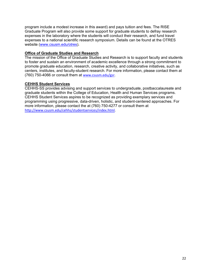program include a modest increase in this award) and pays tuition and fees. The RISE Graduate Program will also provide some support for graduate students to defray research expenses in the laboratory where the students will conduct their research, and fund travel expenses to a national scientific research symposium. Details can be found at the OTRES website [\(www.csusm.edu/otres\)](http://www.csusm.edu/otres).

## **Office of Graduate Studies and Research**

The mission of the Office of Graduate Studies and Research is to support faculty and students to foster and sustain an environment of academic excellence through a strong commitment to promote graduate education, research, creative activity, and collaborative initiatives, such as centers, institutes, and faculty-student research. For more information, please contact them at (760) 750-4066 or consult them at [www.csusm.edu/gsr.](http://www.csusm.edu/gsr)

## **CEHHS Student Services**

CEHHS-SS provides advising and support services to undergraduate, postbaccalaureate and graduate students within the College of Education, Health and Human Services programs. CEHHS Student Services aspires to be recognized as providing exemplary services and programming using progressive, data-driven, holistic, and student-centered approaches. For more information, please contact the at (760) 750-4277 or consult them at [http://www.csusm.edu/cehhs/studentservices/index.html.](http://www.csusm.edu/cehhs/studentservices/index.html)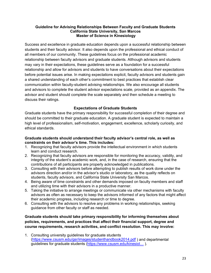#### **Guideline for Advising Relationships Between Faculty and Graduate Students California State University, San Marcos Master of Science in Kinesiology**

Success and excellence in graduate education depends upon a successful relationship between students and their faculty advisor. It also depends upon the professional and ethical conduct of all members of our community. These guidelines focus on the professional academic relationship between faculty advisors and graduate students. Although advisors and students may vary in their expectations, these guidelines serve as a foundation for a successful relationship and allow for advisors and students to have conversations about their expectations before potential issues arise. In making expectations explicit, faculty advisors and students gain a shared understanding of each other's commitment to best practices that establish clear communication within faculty-student advising relationships. We also encourage all students and advisors to complete the student advisor expectations scale, provided as an appendix. The advisor and student should complete the scale separately and then schedule a meeting to discuss their ratings.

## **Expectations of Graduate Students**

Graduate students have the primary responsibility for successful completion of their degree and should be committed to their graduate education. A graduate student is expected to maintain a high level of professionalism, self-motivation, engagement, excellence, scholarly curiosity, and ethical standards.

### **Graduate students should understand their faculty advisor's central role, as well as constraints on their advisor's time. This includes:**

- 1. Recognizing that faculty advisors provide the intellectual environment in which students learn and conduct research.
- 2. Recognizing that faculty advisors are responsible for monitoring the accuracy, validity, and integrity of the student's academic work, and, in the case of research, ensuring that the contributions of all participants are properly acknowledged in publications.
- 3. Consulting with their advisors before attempting to publish results of work done under the advisors direction and/or in the advisor's studio or laboratory, as the quality reflects on students, faculty advisors, and California State University San Marcos.
- 4. Being aware of time constraints and other demands imposed on faculty members and staff and utilizing time with their advisors in a productive manner.
- 5. Taking the initiative to arrange meetings or communicate via other mechanisms with faculty advisors as often as necessary to keep the advisors informed of any factors that might affect their academic progress, including research or time to degree.
- 6. Consulting with the advisors to resolve any problems in working relationships, seeking guidance from other faculty or staff as needed.

## **Graduate students should take primary responsibility for informing themselves about policies, requirements, and practices that affect their financial support, degree and course requirements, research activities, and conflict resolution. This may involve:**

1. Consulting university guidelines for graduate students [\(https://www.csusm.edu/gsr/images/studenthandbook2014.pdf](https://www.csusm.edu/gsr/images/studenthandbook2014.pdf) ) and departmental guidelines for graduate students [\(https://www.csusm.edu/kinesiol…](https://www.csusm.edu/kinesiol%E2%80%A6) ).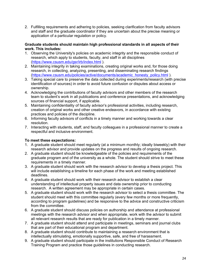2. Fulfilling requirements and adhering to policies, seeking clarification from faculty advisors and staff and the graduate coordinator if they are uncertain about the precise meaning or application of a particular regulation or policy.

#### **Graduate students should maintain high professional standards in all aspects of their work. This includes:**

- 1. Observing the University's policies on academic integrity and the responsible conduct of research, which apply to students, faculty, and staff in all disciplines [\(https://www.csusm.edu/gsr/irb/index.html](https://www.csusm.edu/gsr/irb/index.html) ).
- 2. Maintaining integrity in taking examinations, creating original works and, for those doing research, in collecting, analyzing, presenting, and disseminating research findings [\(https://www.csusm.edu/policies/active/documents/academic\\_honesty\\_policy.html](https://www.csusm.edu/policies/active/documents/academic_honesty_policy.html) ).
- 3. Taking special care to preserve the data collected during experiments/research (with precise identification of sources) in order to avoid future confusion or disputes about access or ownership.
- 4. Acknowledging the contributions of faculty advisors and other members of the research team to student's work in all publications and conference presentations, and acknowledging sources of financial support, if applicable.
- 5. Maintaining confidentiality of faculty advisor's professional activities, including research, creation of original works and other creative endeavors, in accordance with existing practices and policies of the discipline.
- 6. Informing faculty advisors of conflicts in a timely manner and working towards a clear resolution.
- 7. Interacting with students, staff, and faculty colleagues in a professional manner to create a respectful and inclusive environment.

## **To meet these expectations:**

- 1. A graduate student should meet regularly (at a minimum monthly; ideally biweekly) with their research advisor and provide updates on the progress and results of ongoing research.
- 2. A graduate student should be knowledgeable of the policies and requirements of the graduate program and of the university as a whole. The student should strive to meet these requirements in a timely manner.
- 3. A graduate student should work with the research advisor to develop a thesis project. This will include establishing a timeline for each phase of the work and meeting established deadlines.
- 4. A graduate student should work with their research advisor to establish a clear understanding of intellectual property issues and data ownership prior to conducting research. A written agreement may be appropriate in certain cases.
- 5. A graduate student should work with the research advisor to select a thesis committee. The student should meet with this committee regularly (every few months or more frequently, according to program guidelines) and be responsive to the advice and constructive criticism from the committee.
- 6. A graduate student should discuss policies on authorship and attendance at professional meetings with the research advisor and when appropriate, work with the advisor to submit all relevant research results that are ready for publication in a timely manner.
- 7. A graduate student should attend and participate in meetings, seminars and journal clubs that are part of their educational program and department.
- 8. A graduate student should contribute to maintaining a research environment that is intellectually stimulating, emotionally supportive, safe, and free of harassment.
- 9. A graduate student should participate in the institutions Responsible Conduct of Research Training Program and practice those guidelines in conducting research.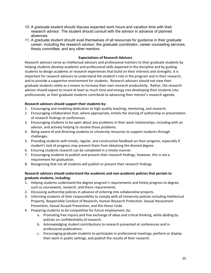- 10. A graduate student should discuss expected work hours and vacation time with their research advisor. The student should consult with the advisor in advance of planned absences.
- 11. A graduate student should avail themselves of all resources for guidance in their graduate career, including the research advisor, the graduate coordinator, career counseling services, thesis committee, and any other mentors.

#### **Expectations of Research Advisors**

Research advisors serve as intellectual advisors and professional mentors to their graduate students by helping students develop academic and professional skills expected in the discipline and by guiding students to design academic or research experiences that build on their interests and strengths. It is important for research advisors to understand the student's role in the program and in their research, and to provide a supportive environment for students. Research advisors should not view their graduate students solely as a means to increase their own research productivity. Rather, the research advisor should expect to invest at least as much time and energy into developing their students into professionals, as their graduate students contribute to advancing their mentor's research agenda.

#### **Research advisors should support their students by:**

- 1. Encouraging and modeling dedication to high quality teaching, mentoring, and research.
- 2. Encouraging collaboration that, where appropriate, entails the sharing of authorship or presentation of research findings at conferences.
- 3. Encouraging students to be open about any problems in their work relationships, including with an advisor, and actively helping to resolve those problems.
- 4. Being aware of and directing students to University resources to support students through challenges.
- 5. Providing students with timely, regular, and constructive feedback on their progress, especially if student's lack of progress may prevent them from obtaining the desired degree.
- 6. Ensuring students research can be completed in a timely manner.
- 7. Encouraging students to publish and present their research findings, however, this is not a requirement for graduation.
- 8. Recognizing that not all students will publish or present their research findings

### **Research advisors should understand the academic and non-academic policies that pertain to graduate students, including:**

- 1. Helping students understand the degree program's requirements and timely progress to degree, such as coursework, research, and thesis requirements.
- 2. Discussing authorship policies in advance of entering into collaborative projects.
- 3. Informing students of their responsibility to comply with all University policies including Intellectual Property, Responsible Conduct of Research, Human Research Protection, Sexual Harassment Prevention, Sexual Assault Prevention, and the Honor Code.
- 4. Preparing students to be competitive for future employment, by:
	- a. Promoting free inquiry and free exchange of ideas and critical thinking, while abiding by policies on confidentiality of research.
	- b. Acknowledging student contributions to research presented at conferences and in professional publications.
	- c. Encouraging graduate students to participate in professional meetings, perform or display their work in public settings, and publish the results of their research.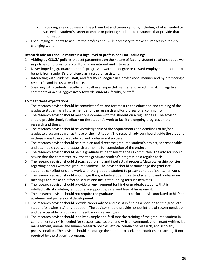- d. Providing a realistic view of the job market and career options, including what is needed to succeed in student's career of choice or pointing students to resources that provide that information.
- 5. Encouraging students to acquire the professional skills necessary to make an impact in a rapidly changing world.

#### **Research advisors should maintain a high level of professionalism, including:**

- 1. Abiding by CSUSM policies that set parameters on the nature of faculty-student relationships as well as policies on professional conflict of commitment and interests.
- 2. Never impeding graduate student's progress toward the degree or toward employment in order to benefit from student's proficiency as a research assistant.
- 3. Interacting with students, staff, and faculty colleagues in a professional manner and by promoting a respectful and inclusive workplace.
- 4. Speaking with students, faculty, and staff in a respectful manner and avoiding making negative comments or acting aggressively towards students, faculty, or staff.

#### **To meet these expectations:**

- 1. The research advisor should be committed first and foremost to the education and training of the graduate student as a future member of the research and/or professional community.
- 2. The research advisor should meet one-on-one with the student on a regular basis. The advisor should provide timely feedback on the student's work to facilitate ongoing progress on their research and thesis.
- 3. The research advisor should be knowledgeable of the requirements and deadlines of his/her graduate program as well as those of the institution. The research advisor should guide the student in these areas to ensure academic and professional success.
- 4. The research advisor should help to plan and direct the graduate student's project, set reasonable and attainable goals, and establish a timeline for completion of the project.
- 5. The research advisor should help a graduate student select a thesis committee. The advisor should assure that the committee reviews the graduate student's progress on a regular basis.
- 6. The research advisor should discuss authorship and intellectual property/data ownership policies regarding papers with the graduate student. The advisor should acknowledge the graduate student's contributions and work with the graduate student to present and publish his/her work.
- 7. The research advisor should encourage the graduate student to attend scientific and professional meetings and make an effort to secure and facilitate funding for such activities.
- 8. The research advisor should provide an environment for his/her graduate students that is intellectually stimulating, emotionally supportive, safe, and free of harassment.
- 9. The research advisor should not require the graduate student to perform tasks unrelated to his/her academic and professional development.
- 10. The research advisor should provide career advice and assist in finding a position for the graduate student following his/her graduation. The advisor should provide honest letters of recommendation and be accessible for advice and feedback on career goals.
- 11. The research advisor should lead by example and facilitate the training of the graduate student in complementary skills needed for success, such as oral and written communication, grant writing, lab management, animal and human research policies, ethical conduct of research, and scholarly professionalism. The advisor should encourage the student to seek opportunities in teaching, if not required by the student's program.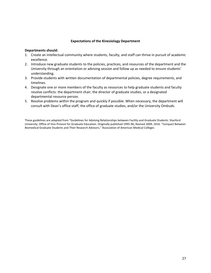#### **Expectations of the Kinesiology Department**

#### **Departments should:**

- 1. Create an intellectual community where students, faculty, and staff can thrive in pursuit of academic excellence.
- 2. Introduce new graduate students to the policies, practices, and resources of the department and the University through an orientation or advising session and follow up as needed to ensure students' understanding.
- 3. Provide students with written documentation of departmental policies, degree requirements, and timelines.
- 4. Designate one or more members of the faculty as resources to help graduate students and faculty resolve conflicts: the department chair, the director of graduate studies, or a designated departmental resource person.
- 5. Resolve problems within the program and quickly if possible. When necessary, the department will consult with Dean's office staff, the office of graduate studies, and/or the University Ombuds.

These guidelines are adapted from "Guidelines for Advising Relationships between Facility and Graduate Students. Stanford University. Office of Vice Provost for Graduate Education. Originally published 1995-96; Revised 2009, 2016. "Compact Between Biomedical Graduate Students and Their Research Advisors," Association of American Medical Colleges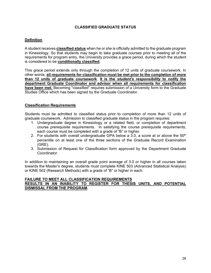## **CLASSIFIED GRADUATE STATUS**

## **Definition**

A student receives **classified status** when he or she is officially admitted to the graduate program in Kinesiology. So that students may begin to take graduate courses prior to meeting all of the requirements for program entry, the University provides a grace period, during which the student is considered to be **conditionally classified**.

This grace period extends only through the completion of 12 units of graduate coursework. In other words, **all requirements for classification must be met prior to the completion of more than 12 units of graduate coursework**. **It is the** *student's responsibility* **to notify the department Graduate Coordinator and advisor when all requirements for classification have been met.** Becoming "classified" requires submission of a University form to the Graduate Studies Office which has been signed by the Graduate Coordinator.

### **Classification Requirements**

Students must be admitted to classified status prior to completion of more than 12 units of graduate coursework. Admission to classified graduate status in the program requires:

- 1. Undergraduate degree in Kinesiology or a related field, or completion of department course prerequisite requirements. In satisfying the course prerequisite requirements, each course must be completed with a grade of "B" or higher.
- 2. For students with overall undergraduate GPA below a 3.0, a score at or above the  $50<sup>th</sup>$ percentile on at least one of the three sections of the Graduate Record Examination (GRE).
- 3. Submission of Request for Classification form approved by the Department Graduate Coordinator.

In addition to maintaining an overall grade point average of 3.0 or higher in all courses taken towards the Master's degree, students must complete KINE 503 (Advanced Statistical Analysis) or KINE 502 (Research Methods) with a grade of "B" or higher in each.

#### **FAILURE TO MEET ALL CLASSIFICATION REQUIREMENTS RESULTS IN AN INABILITY TO REGISTER FOR THESIS UNITS, AND POTENTIAL DISMISSAL FROM THE PROGRAM.**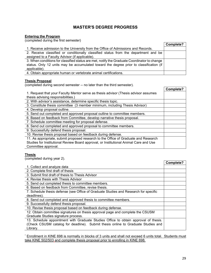# **MASTER'S DEGREE PROGRESS**

#### **Entering the Program**

(completed during the first semester)

|                                                                                             | Complete? |
|---------------------------------------------------------------------------------------------|-----------|
| 1. Receive admission to the University from the Office of Admissions and Records.           |           |
| 2. Receive classified or conditionally classified status from the department and be         |           |
| assigned to a Faculty Advisor (if applicable).                                              |           |
| 3. When conditions for classified status are met, notify the Graduate Coordinator to change |           |
| status. Only 12 units may be accumulated toward the degree prior to classification (if      |           |
| applicable).                                                                                |           |
| 4. Obtain appropriate human or vertebrate animal certifications.                            |           |

#### **Thesis Proposal**

(completed during second semester -- no later than the third semester).

| completed dailing cooping compoter the rater than the time compoter ji                |           |
|---------------------------------------------------------------------------------------|-----------|
|                                                                                       | Complete? |
| 1. Request that your Faculty Mentor serve as thesis advisor (Thesis advisor assumes   |           |
| thesis advising responsibilities.)                                                    |           |
| 2. With advisor's assistance, determine specific thesis topic.                        |           |
| 3. Constitute thesis committee (3 member minimum, including Thesis Advisor)           |           |
| 4. Develop proposal outline.                                                          |           |
| 5. Send out completed and approved proposal outline to committee members.             |           |
| 6. Based on feedback from Committee, develop narrative thesis proposal.               |           |
| 7. Schedule committee meeting for proposal defense.                                   |           |
| 8. Send out completed and approved proposal to committee members.                     |           |
| 9. Successfully defend thesis proposal.                                               |           |
| 10. Revise thesis proposal based on feedback during defense.                          |           |
| 11. As appropriate, submit proposed research to the Office of Graduate and Research   |           |
| Studies for Institutional Review Board approval, or Institutional Animal Care and Use |           |
| Committee approval.                                                                   |           |

## **Thesis**

(completed during year 2).

|                                                                                      | Complete? |
|--------------------------------------------------------------------------------------|-----------|
| 1. Collect and analyze data                                                          |           |
| 2. Complete first draft of thesis                                                    |           |
| 3. Submit first draft of thesis to Thesis Advisor                                    |           |
| 4. Revise thesis with Thesis Advisor                                                 |           |
| 5. Send out completed thesis to committee members.                                   |           |
| 6. Based on feedback from Committee, revise thesis.                                  |           |
| 7. Schedule thesis defense (see Office of Graduate Studies and Research for specific |           |
| deadlines).                                                                          |           |
| 8. Send out completed and approved thesis to committee members.                      |           |
| 9. Successfully defend thesis proposal.                                              |           |
| 10. Revise thesis proposal based on feedback during defense.                         |           |
| 12. Obtain committee signatures on thesis approval page and complete the CSUSM       |           |
| Graduate Studies signature process.                                                  |           |
| 13. Schedule appointment with Graduate Studies Office to obtain approval of thesis.  |           |
| (Check CSUSM catalog for deadline). Submit thesis online to Graduate Studies and     |           |
| Library.                                                                             |           |

\* Enrollment in KINE 698 is normally in blocks of 3 units and shall not exceed 6 units total. Students must take KINE 502/503 and complete thesis proposal prior to enrolling in KINE 698.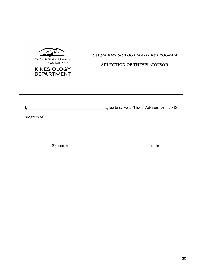THE California State University<br>SAN MARCOS **KINESIOLOGY** 

**DEPARTMENT** 

# *CSUSM KINESIOLOGY MASTERS PROGRAM*

## **SELECTION OF THESIS ADVISOR**

|                                                                                                                                                                                                                                | , agree to serve as Thesis Advisor for the MS |
|--------------------------------------------------------------------------------------------------------------------------------------------------------------------------------------------------------------------------------|-----------------------------------------------|
| program of the contract of the contract of the contract of the contract of the contract of the contract of the contract of the contract of the contract of the contract of the contract of the contract of the contract of the | $\bullet$                                     |
|                                                                                                                                                                                                                                |                                               |
|                                                                                                                                                                                                                                |                                               |
| <b>Signature</b>                                                                                                                                                                                                               | date                                          |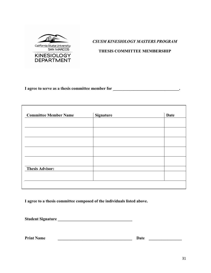

*CSUSM KINESIOLOGY MASTERS PROGRAM*

**THESIS COMMITTEE MEMBERSHIP**

**I** agree to serve as a thesis committee member for \_\_\_\_\_\_\_\_\_\_\_\_\_\_\_\_\_\_\_\_\_\_\_\_\_\_\_\_\_.

| <b>Committee Member Name</b> | <b>Signature</b> | <b>Date</b> |
|------------------------------|------------------|-------------|
|                              |                  |             |
|                              |                  |             |
|                              |                  |             |
|                              |                  |             |
|                              |                  |             |
|                              |                  |             |
|                              |                  |             |
| <b>Thesis Advisor:</b>       |                  |             |
|                              |                  |             |
|                              |                  |             |

**I agree to a thesis committee composed of the individuals listed above.**

**Student Signature \_\_\_\_\_\_\_\_\_\_\_\_\_\_\_\_\_\_\_\_\_\_\_\_\_\_\_\_\_\_\_\_\_\_\_\_**

**Print Name \_\_\_\_\_\_\_\_\_\_\_\_\_\_\_\_\_\_\_\_\_\_\_\_\_\_\_\_\_\_\_\_\_\_\_\_ Date \_\_\_\_\_\_\_\_\_\_\_\_\_\_\_\_**

 $\overline{\phantom{a}}$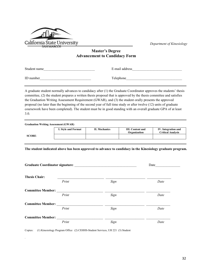

*Department of Kinesiology*

## **Master's Degree Advancement to Candidacy Form**

Student name The E-mail address

| ID number |  |
|-----------|--|
|-----------|--|

.

Telephone

A graduate student normally advances to candidacy after (1) the Graduate Coordinator approves the students' thesis committee, (2) the student prepares a written thesis proposal that is approved by the thesis committee and satisfies the Graduation Writing Assessment Requirement (GWAR), and (3) the student orally presents the approved proposal (no later than the beginning of the second year of full time study or after twelve (12) units of graduate coursework have been completed). The student must be in good standing with an overall graduate GPA of at least 3.0.

| <b>Graduation Writing Assessment (GWAR)</b> |                     |                      |                                         |                                                 |  |  |
|---------------------------------------------|---------------------|----------------------|-----------------------------------------|-------------------------------------------------|--|--|
|                                             | I. Style and Format | <b>II. Mechanics</b> | <b>III.</b> Content and<br>Organization | IV. Integration and<br><b>Critical Analysis</b> |  |  |
| SCORE:                                      |                     |                      |                                         |                                                 |  |  |

**The student indicated above has been approved to advance to candidacy in the Kinesiology graduate program.**

| Graduate Coordinator signature: | Date |      |
|---------------------------------|------|------|
| <b>Thesis Chair:</b>            |      |      |
| Print                           | Sign | Date |
| <b>Committee Member:</b>        |      |      |
| Print                           | Sign | Date |
| <b>Committee Member:</b>        |      |      |
| Print                           | Sign | Date |
| <b>Committee Member:</b>        |      |      |
| Print                           | Sign | Date |

Copies: (1) Kinesiology Program Office (2) CEHHS-Student Services, UH 221 (3) Student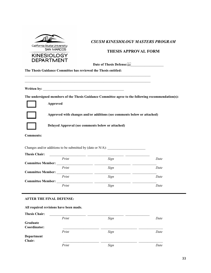

**Approved**

## *CSUSM KINESIOLOGY MASTERS PROGRAM*

## **THESIS APPROVAL FORM**

Date of Thesis Defense:<sup>[17]</sup>

**The Thesis Guidance Committee has reviewed the Thesis entitled:** 

**Written by:** \_\_\_\_\_\_\_\_\_\_\_\_\_\_\_\_\_\_\_\_\_\_\_\_\_\_\_\_\_\_\_\_\_\_\_\_\_\_\_\_\_\_\_\_\_\_\_

**The undersigned members of the Thesis Guidance Committee agree to the following recommendation(s):** 

**Approved with changes and/or additions (see comments below or attached)**



**Delayed Approval (see comments below or attached)**

 $\_$  , and the state of the state of the state of the state of the state of the state of the state of the state of the state of the state of the state of the state of the state of the state of the state of the state of the  $\_$  , and the set of the set of the set of the set of the set of the set of the set of the set of the set of the set of the set of the set of the set of the set of the set of the set of the set of the set of the set of th

**Comments:** 

Changes and/or additions to be submitted by (date or  $N/A$ ):

| <b>Thesis Chair:</b>     |      |      |
|--------------------------|------|------|
| Print                    | Sign | Date |
| <b>Committee Member:</b> |      |      |
| Print                    | Sign | Date |
| <b>Committee Member:</b> |      |      |
| Print                    | Sign | Date |
| <b>Committee Member:</b> |      |      |
| Print                    | Sign | Date |
|                          |      |      |

#### **AFTER THE FINAL DEFENSE:**

#### **All required revisions have been made.**

| <b>Thesis Chair:</b> |       |      |      |
|----------------------|-------|------|------|
|                      | Print | Sign | Date |
| Graduate             |       |      |      |
| Coordinator:         |       |      |      |
|                      | Print | Sign | Date |
| Department           |       |      |      |
| Chair:               |       |      |      |
|                      | Print | Sign | Date |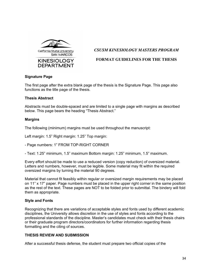

*CSUSM KINESIOLOGY MASTERS PROGRAM*

## **FORMAT GUIDELINES FOR THE THESIS**

### **Signature Page**

The first page after the extra blank page of the thesis is the Signature Page. This page also functions as the title page of the thesis.

## **Thesis Abstract**

Abstracts must be double-spaced and are limited to a single page with margins as described below. This page bears the heading "Thesis Abstract."

## **Margins**

The following (minimum) margins must be used throughout the manuscript:

Left margin: 1.5" Right margin: 1.25" Top margin:

- Page numbers: 1" FROM TOP-RIGHT CORNER
- Text: 1.25" minimum, 1.5" maximum Bottom margin: 1.25" minimum, 1.5" maximum.

Every effort should be made to use a reduced version (copy reduction) of oversized material. Letters and numbers, however, must be legible. Some material may fit within the required oversized margins by turning the material 90 degrees.

Material that cannot fit feasibly within regular or oversized margin requirements may be placed on 11" x 17" paper. Page numbers must be placed in the upper right corner in the same position as the rest of the text. These pages are NOT to be folded prior to submittal. The bindery will fold them as appropriate.

### **Style and Fonts**

Recognizing that there are variations of acceptable styles and fonts used by different academic disciplines, the University allows discretion in the use of styles and fonts according to the professional standards of the discipline. Master's candidates must check with their thesis chairs or their graduate program directors/coordinators for further information regarding thesis formatting and the citing of sources.

### **THESIS REVIEW AND SUBMISSION**

After a successful thesis defense, the student must prepare two official copies of the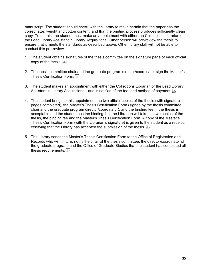manuscript. The student should check with the library to make certain that the paper has the correct size, weight and cotton content, and that the printing process produces sufficiently clean copy. To do this, the student must make an appointment with either the Collections Librarian or the Lead Library Assistant in Library Acquisitions. Either person will pre-review the thesis to ensure that it meets the standards as described above. Other library staff will not be able to conduct this pre-review.

- 1. The student obtains signatures of the thesis committee on the signature page of each official copy of the thesis.
- 2. The thesis committee chair and the graduate program director/coordinator sign the Master's Thesis Certification Form.
- 3. The student makes an appointment with either the Collections Librarian or the Lead Library Assistant in Library Acquisitions—and is notified of the fee, and method of payment. **Fight**
- 4. The student brings to this appointment the two official copies of the thesis (with signature pages completed), the Master's Thesis Certification Form (signed by the thesis committee chair and the graduate program director/coordinator), and the binding fee. If the thesis is acceptable and the student has the binding fee, the Librarian will take the two copies of the thesis, the binding fee and the Master's Thesis Certification Form. A copy of the Master's Thesis Certification Form (with the Librarian's signature) is given to the student as a receipt, certifying that the Library has accepted the submission of the thesis. SEP.
- 5. The Library sends the Master's Thesis Certification Form to the Office of Registration and Records who will, in turn, notify the chair of the thesis committee, the director/coordinator of the graduate program, and the Office of Graduate Studies that the student has completed all thesis requirements.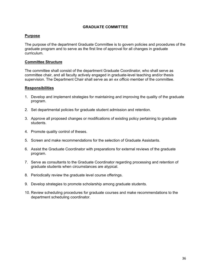#### **GRADUATE COMMITTEE**

#### **Purpose**

The purpose of the department Graduate Committee is to govern policies and procedures of the graduate program and to serve as the first line of approval for all changes in graduate curriculum.

#### **Committee Structure**

The committee shall consist of the department Graduate Coordinator, who shall serve as committee chair, and all faculty actively engaged in graduate-level teaching and/or thesis supervision. The Department Chair shall serve as an *ex officio* member of the committee.

#### **Responsibilities**

- 1. Develop and implement strategies for maintaining and improving the quality of the graduate program.
- 2. Set departmental policies for graduate student admission and retention.
- 3. Approve all proposed changes or modifications of existing policy pertaining to graduate students.
- 4. Promote quality control of theses.
- 5. Screen and make recommendations for the selection of Graduate Assistants.
- 6. Assist the Graduate Coordinator with preparations for external reviews of the graduate program.
- 7. Serve as consultants to the Graduate Coordinator regarding processing and retention of graduate students when circumstances are atypical.
- 8. Periodically review the graduate level course offerings.
- 9. Develop strategies to promote scholarship among graduate students.
- 10. Review scheduling procedures for graduate courses and make recommendations to the department scheduling coordinator.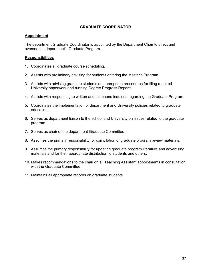## **GRADUATE COORDINATOR**

## **Appointment**

The department Graduate Coordinator is appointed by the Department Chair to direct and oversee the department's Graduate Program.

### **Responsibilities**

- 1. Coordinates all graduate course scheduling.
- 2. Assists with preliminary advising for students entering the Master's Program.
- 3. Assists with advising graduate students on appropriate procedures for filing required University paperwork and running Degree Progress Reports.
- 4. Assists with responding to written and telephone inquiries regarding the Graduate Program.
- 5. Coordinates the implementation of department and University policies related to graduate education.
- 6. Serves as department liaison to the school and University on issues related to the graduate program.
- 7. Serves as chair of the department Graduate Committee.
- 8. Assumes the primary responsibility for compilation of graduate program review materials.
- 9. Assumes the primary responsibility for updating graduate program literature and advertising materials and for their appropriate distribution to students and others.
- 10. Makes recommendations to the chair on all Teaching Assistant appointments in consultation with the Graduate Committee.
- 11. Maintains all appropriate records on graduate students.